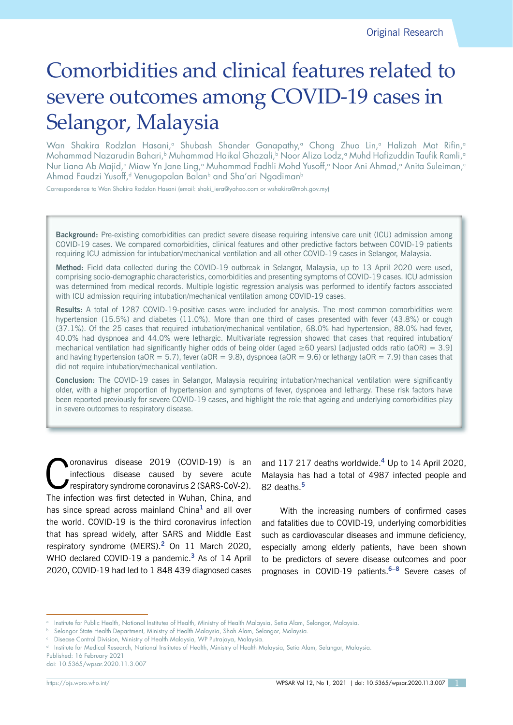# Comorbidities and clinical features related to severe outcomes among COVID-19 cases in Selangor, Malaysia

Wan Shakira Rodzlan Hasani,<sup>a</sup> Shubash Shander Ganapathy,<sup>a</sup> Chong Zhuo Lin,<sup>a</sup> Halizah Mat Rifin,<sup>a</sup> Mohammad Nazarudin Bahari,<sup>b</sup> Muhammad Haikal Ghazali,<sup>b</sup> Noor Aliza Lodz,<sup>a</sup> Muhd Hafizuddin Taufik Ramli,<sup>a</sup> Nur Liana Ab Majid,<sup>a</sup> Miaw Yn Jane Ling,<sup>a</sup> Muhammad Fadhli Mohd Yusoff,<sup>a</sup> Noor Ani Ahmad,<sup>a</sup> Anita Suleiman,<sup>c</sup> Ahmad Faudzi Yusoff,<sup>d</sup> Venugopalan Balan<sup>b</sup> and Sha'ari Ngadiman<sup>b</sup>

Correspondence to Wan Shakira Rodzlan Hasani (email: shaki\_iera@yahoo.com or wshakira@moh.gov.my)

**Background:** Pre-existing comorbidities can predict severe disease requiring intensive care unit (ICU) admission among COVID-19 cases. We compared comorbidities, clinical features and other predictive factors between COVID-19 patients requiring ICU admission for intubation/mechanical ventilation and all other COVID-19 cases in Selangor, Malaysia.

**Method:** Field data collected during the COVID-19 outbreak in Selangor, Malaysia, up to 13 April 2020 were used, comprising socio-demographic characteristics, comorbidities and presenting symptoms of COVID-19 cases. ICU admission was determined from medical records. Multiple logistic regression analysis was performed to identify factors associated with ICU admission requiring intubation/mechanical ventilation among COVID-19 cases.

**Results:** A total of 1287 COVID-19-positive cases were included for analysis. The most common comorbidities were hypertension (15.5%) and diabetes (11.0%). More than one third of cases presented with fever (43.8%) or cough (37.1%). Of the 25 cases that required intubation/mechanical ventilation, 68.0% had hypertension, 88.0% had fever, 40.0% had dyspnoea and 44.0% were lethargic. Multivariate regression showed that cases that required intubation/ mechanical ventilation had significantly higher odds of being older (aged  $\geq 60$  years) [adjusted odds ratio (aOR) = 3.9] and having hypertension (aOR = 5.7), fever (aOR = 9.8), dyspnoea (aOR = 9.6) or lethargy (aOR = 7.9) than cases that did not require intubation/mechanical ventilation.

**Conclusion:** The COVID-19 cases in Selangor, Malaysia requiring intubation/mechanical ventilation were significantly older, with a higher proportion of hypertension and symptoms of fever, dyspnoea and lethargy. These risk factors have been reported previously for severe COVID-19 cases, and highlight the role that ageing and underlying comorbidities play in severe outcomes to respiratory disease.

Coronavirus disease 2019 (COVID-19) is an infectious disease caused by severe acute<br>respiratory syndrome coronavirus 2 (SARS-CoV-2). infectious disease caused by severe acute respiratory syndrome coronavirus 2 (SARS-CoV-2). The infection was first detected in Wuhan, China, and has since spread across mainland China**<sup>1</sup>**and all over the world. COVID-19 is the third coronavirus infection that has spread widely, after SARS and Middle East respiratory syndrome (MERS).**<sup>2</sup>** On 11 March 2020, WHO declared COVID-19 a pandemic.**<sup>3</sup>** As of 14 April 2020, COVID-19 had led to 1 848 439 diagnosed cases

and 117 217 deaths worldwide.**<sup>4</sup>** Up to 14 April 2020, Malaysia has had a total of 4987 infected people and 82 deaths.**<sup>5</sup>**

With the increasing numbers of confirmed cases and fatalities due to COVID-19, underlying comorbidities such as cardiovascular diseases and immune deficiency, especially among elderly patients, have been shown to be predictors of severe disease outcomes and poor prognoses in COVID-19 patients.**6–8** Severe cases of

<sup>a</sup> Institute for Public Health, National Institutes of Health, Ministry of Health Malaysia, Setia Alam, Selangor, Malaysia.

<sup>b</sup> Selangor State Health Department, Ministry of Health Malaysia, Shah Alam, Selangor, Malaysia.

Disease Control Division, Ministry of Health Malaysia, WP Putrajaya, Malaysia.

Institute for Medical Research, National Institutes of Health, Ministry of Health Malaysia, Setia Alam, Selangor, Malaysia

Published: 16 February 2021

doi: 10.5365/wpsar.2020.11.3.007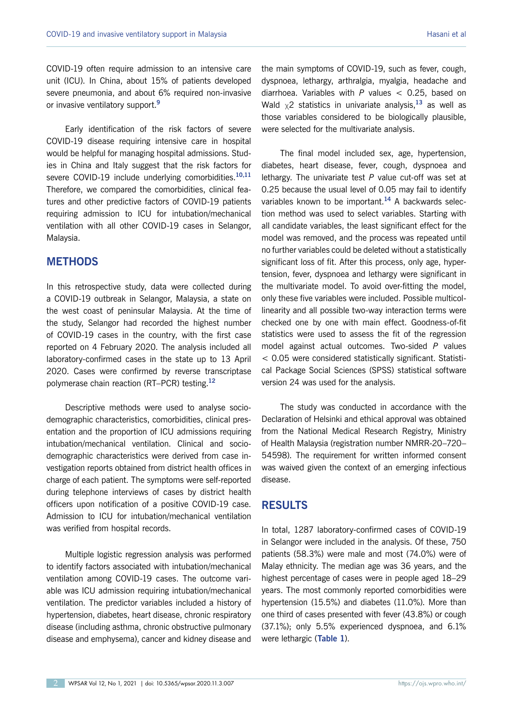COVID-19 often require admission to an intensive care unit (ICU). In China, about 15% of patients developed severe pneumonia, and about 6% required non-invasive or invasive ventilatory support.**<sup>9</sup>**

Early identification of the risk factors of severe COVID-19 disease requiring intensive care in hospital would be helpful for managing hospital admissions. Studies in China and Italy suggest that the risk factors for severe COVID-19 include underlying comorbidities.**10,11**  Therefore, we compared the comorbidities, clinical features and other predictive factors of COVID-19 patients requiring admission to ICU for intubation/mechanical ventilation with all other COVID-19 cases in Selangor, Malaysia.

## **METHODS**

In this retrospective study, data were collected during a COVID-19 outbreak in Selangor, Malaysia, a state on the west coast of peninsular Malaysia. At the time of the study, Selangor had recorded the highest number of COVID-19 cases in the country, with the first case reported on 4 February 2020. The analysis included all laboratory-confirmed cases in the state up to 13 April 2020. Cases were confirmed by reverse transcriptase polymerase chain reaction (RT–PCR) testing.**<sup>12</sup>**

Descriptive methods were used to analyse sociodemographic characteristics, comorbidities, clinical presentation and the proportion of ICU admissions requiring intubation/mechanical ventilation. Clinical and sociodemographic characteristics were derived from case investigation reports obtained from district health offices in charge of each patient. The symptoms were self-reported during telephone interviews of cases by district health officers upon notification of a positive COVID-19 case. Admission to ICU for intubation/mechanical ventilation was verified from hospital records.

Multiple logistic regression analysis was performed to identify factors associated with intubation/mechanical ventilation among COVID-19 cases. The outcome variable was ICU admission requiring intubation/mechanical ventilation. The predictor variables included a history of hypertension, diabetes, heart disease, chronic respiratory disease (including asthma, chronic obstructive pulmonary disease and emphysema), cancer and kidney disease and

the main symptoms of COVID-19, such as fever, cough, dyspnoea, lethargy, arthralgia, myalgia, headache and diarrhoea. Variables with *P* values < 0.25, based on Wald χ2 statistics in univariate analysis,**<sup>13</sup>** as well as those variables considered to be biologically plausible, were selected for the multivariate analysis.

The final model included sex, age, hypertension, diabetes, heart disease, fever, cough, dyspnoea and lethargy. The univariate test *P* value cut-off was set at 0.25 because the usual level of 0.05 may fail to identify variables known to be important.**<sup>14</sup>** A backwards selection method was used to select variables. Starting with all candidate variables, the least significant effect for the model was removed, and the process was repeated until no further variables could be deleted without a statistically significant loss of fit. After this process, only age, hypertension, fever, dyspnoea and lethargy were significant in the multivariate model. To avoid over-fitting the model, only these five variables were included. Possible multicollinearity and all possible two-way interaction terms were checked one by one with main effect. Goodness-of-fit statistics were used to assess the fit of the regression model against actual outcomes. Two-sided *P* values < 0.05 were considered statistically significant. Statistical Package Social Sciences (SPSS) statistical software version 24 was used for the analysis.

The study was conducted in accordance with the Declaration of Helsinki and ethical approval was obtained from the National Medical Research Registry, Ministry of Health Malaysia (registration number NMRR-20–720– 54598). The requirement for written informed consent was waived given the context of an emerging infectious disease.

## **RESULTS**

In total, 1287 laboratory-confirmed cases of COVID-19 in Selangor were included in the analysis. Of these, 750 patients (58.3%) were male and most (74.0%) were of Malay ethnicity. The median age was 36 years, and the highest percentage of cases were in people aged 18–29 years. The most commonly reported comorbidities were hypertension (15.5%) and diabetes (11.0%). More than one third of cases presented with fever (43.8%) or cough (37.1%); only 5.5% experienced dyspnoea, and 6.1% were lethargic (**Table 1**).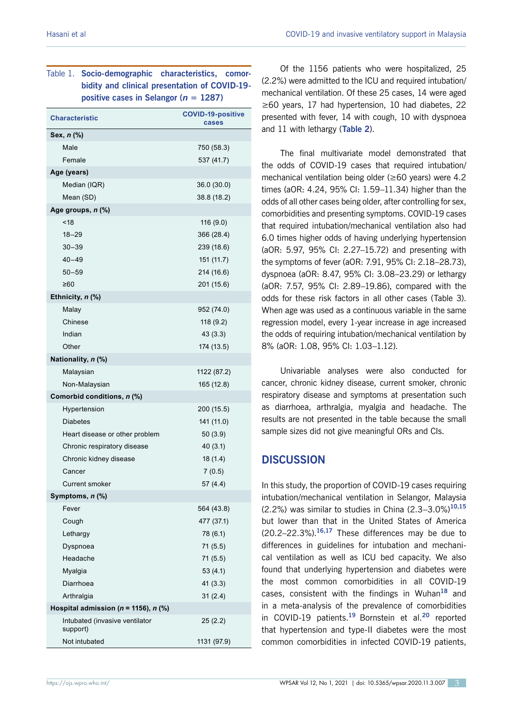## Table 1. **Socio-demographic characteristics, comorbidity and clinical presentation of COVID-19 positive cases in Selangor (***n* **= 1287)**

| <b>Characteristic</b>                      | <b>COVID-19-positive</b><br>cases |  |  |  |  |  |
|--------------------------------------------|-----------------------------------|--|--|--|--|--|
| Sex, n (%)                                 |                                   |  |  |  |  |  |
| Male                                       | 750 (58.3)                        |  |  |  |  |  |
| Female                                     | 537 (41.7)                        |  |  |  |  |  |
| Age (years)                                |                                   |  |  |  |  |  |
| Median (IQR)                               | 36.0 (30.0)                       |  |  |  |  |  |
| Mean (SD)                                  | 38.8 (18.2)                       |  |  |  |  |  |
| Age groups, $n$ $\left(\frac{9}{6}\right)$ |                                   |  |  |  |  |  |
| ~18                                        | 116(9.0)                          |  |  |  |  |  |
| $18 - 29$                                  | 366 (28.4)                        |  |  |  |  |  |
| $30 - 39$                                  | 239 (18.6)                        |  |  |  |  |  |
| $40 - 49$                                  | 151 (11.7)                        |  |  |  |  |  |
| $50 - 59$                                  | 214 (16.6)                        |  |  |  |  |  |
| ≥60                                        | 201 (15.6)                        |  |  |  |  |  |
| Ethnicity, n (%)                           |                                   |  |  |  |  |  |
| Malay                                      | 952 (74.0)                        |  |  |  |  |  |
| Chinese                                    | 118 (9.2)                         |  |  |  |  |  |
| Indian                                     | 43(3.3)                           |  |  |  |  |  |
| Other                                      | 174 (13.5)                        |  |  |  |  |  |
| Nationality, n (%)                         |                                   |  |  |  |  |  |
| Malaysian                                  | 1122 (87.2)                       |  |  |  |  |  |
| Non-Malaysian                              | 165 (12.8)                        |  |  |  |  |  |
| Comorbid conditions, n (%)                 |                                   |  |  |  |  |  |
| Hypertension                               | 200 (15.5)                        |  |  |  |  |  |
| <b>Diabetes</b>                            | 141 (11.0)                        |  |  |  |  |  |
| Heart disease or other problem             | 50(3.9)                           |  |  |  |  |  |
| Chronic respiratory disease                | 40(3.1)                           |  |  |  |  |  |
| Chronic kidney disease                     | 18(1.4)                           |  |  |  |  |  |
| Cancer                                     | 7(0.5)                            |  |  |  |  |  |
| <b>Current smoker</b>                      | 57 (4.4)                          |  |  |  |  |  |
| Symptoms, <i>n</i> (%)                     |                                   |  |  |  |  |  |
| Fever                                      | 564 (43.8)                        |  |  |  |  |  |
| Cough                                      | 477 (37.1)                        |  |  |  |  |  |
| Lethargy                                   | 78 (6.1)                          |  |  |  |  |  |
| Dyspnoea                                   | 71 (5.5)                          |  |  |  |  |  |
| Headache                                   | 71 (5.5)                          |  |  |  |  |  |
| Myalgia                                    | 53(4.1)                           |  |  |  |  |  |
| Diarrhoea                                  | 41 (3.3)                          |  |  |  |  |  |
| Arthralgia                                 | 31(2.4)                           |  |  |  |  |  |
| Hospital admission ( $n = 1156$ ), $n$ (%) |                                   |  |  |  |  |  |
| Intubated (invasive ventilator<br>support) | 25(2.2)                           |  |  |  |  |  |
| Not intubated                              | 1131 (97.9)                       |  |  |  |  |  |

Of the 1156 patients who were hospitalized, 25 (2.2%) were admitted to the ICU and required intubation/ mechanical ventilation. Of these 25 cases, 14 were aged ≥60 years, 17 had hypertension, 10 had diabetes, 22 presented with fever, 14 with cough, 10 with dyspnoea and 11 with lethargy (**Table 2**).

The final multivariate model demonstrated that the odds of COVID-19 cases that required intubation/ mechanical ventilation being older (≥60 years) were 4.2 times (aOR: 4.24, 95% CI: 1.59–11.34) higher than the odds of all other cases being older, after controlling for sex, comorbidities and presenting symptoms. COVID-19 cases that required intubation/mechanical ventilation also had 6.0 times higher odds of having underlying hypertension (aOR: 5.97, 95% CI: 2.27–15.72) and presenting with the symptoms of fever (aOR: 7.91, 95% CI: 2.18–28.73), dyspnoea (aOR: 8.47, 95% CI: 3.08–23.29) or lethargy (aOR: 7.57, 95% CI: 2.89–19.86), compared with the odds for these risk factors in all other cases (Table 3). When age was used as a continuous variable in the same regression model, every 1-year increase in age increased the odds of requiring intubation/mechanical ventilation by 8% (aOR: 1.08, 95% CI: 1.03–1.12).

Univariable analyses were also conducted for cancer, chronic kidney disease, current smoker, chronic respiratory disease and symptoms at presentation such as diarrhoea, arthralgia, myalgia and headache. The results are not presented in the table because the small sample sizes did not give meaningful ORs and CIs.

# **DISCUSSION**

In this study, the proportion of COVID-19 cases requiring intubation/mechanical ventilation in Selangor, Malaysia (2.2%) was similar to studies in China (2.3–3.0%)**10,15**  but lower than that in the United States of America (20.2–22.3%).**16,17** These differences may be due to differences in guidelines for intubation and mechanical ventilation as well as ICU bed capacity. We also found that underlying hypertension and diabetes were the most common comorbidities in all COVID-19 cases, consistent with the findings in Wuhan**<sup>18</sup>** and in a meta-analysis of the prevalence of comorbidities in COVID-19 patients.**<sup>19</sup>**Bornstein et al.**<sup>20</sup>** reported that hypertension and type-II diabetes were the most common comorbidities in infected COVID-19 patients,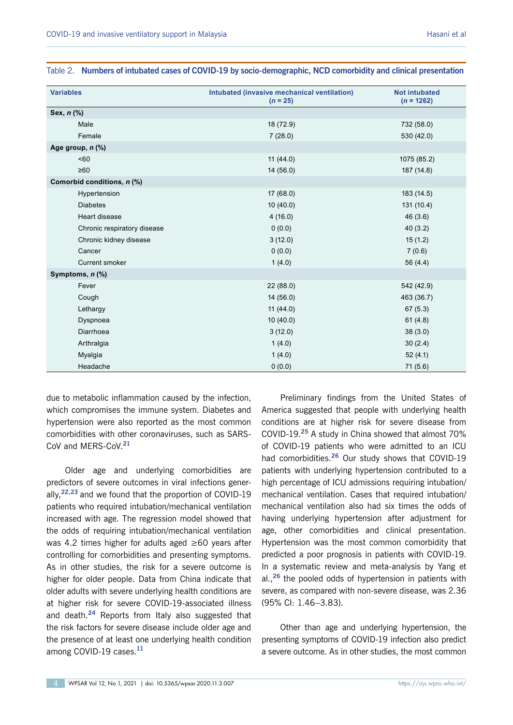| <b>Variables</b>            | Intubated (invasive mechanical ventilation)<br>$(n = 25)$ | <b>Not intubated</b><br>$(n = 1262)$ |
|-----------------------------|-----------------------------------------------------------|--------------------------------------|
| Sex, n (%)                  |                                                           |                                      |
| Male                        | 18 (72.9)                                                 | 732 (58.0)                           |
| Female                      | 7(28.0)                                                   | 530 (42.0)                           |
| Age group, n (%)            |                                                           |                                      |
| <60                         | 11(44.0)                                                  | 1075 (85.2)                          |
| $\geq 60$                   | 14(56.0)                                                  | 187 (14.8)                           |
| Comorbid conditions, n (%)  |                                                           |                                      |
| Hypertension                | 17(68.0)                                                  | 183 (14.5)                           |
| <b>Diabetes</b>             | 10(40.0)                                                  | 131 (10.4)                           |
| Heart disease               | 4(16.0)                                                   | 46 (3.6)                             |
| Chronic respiratory disease | 0(0.0)                                                    | 40(3.2)                              |
| Chronic kidney disease      | 3(12.0)                                                   | 15(1.2)                              |
| Cancer                      | 0(0.0)                                                    | 7(0.6)                               |
| Current smoker              | 1(4.0)                                                    | 56 (4.4)                             |
| Symptoms, n (%)             |                                                           |                                      |
| Fever                       | 22(88.0)                                                  | 542 (42.9)                           |
| Cough                       | 14(56.0)                                                  | 463 (36.7)                           |
| Lethargy                    | 11(44.0)                                                  | 67(5.3)                              |
| Dyspnoea                    | 10(40.0)                                                  | 61(4.8)                              |
| Diarrhoea                   | 3(12.0)                                                   | 38(3.0)                              |
| Arthralgia                  | 1(4.0)                                                    | 30(2.4)                              |
| Myalgia                     | 1(4.0)                                                    | 52(4.1)                              |
| Headache                    | 0(0.0)                                                    | 71 (5.6)                             |

|  | Table 2. Numbers of intubated cases of COVID-19 by socio-demographic, NCD comorbidity and clinical presentation |  |  |  |  |
|--|-----------------------------------------------------------------------------------------------------------------|--|--|--|--|
|--|-----------------------------------------------------------------------------------------------------------------|--|--|--|--|

due to metabolic inflammation caused by the infection, which compromises the immune system. Diabetes and hypertension were also reported as the most common comorbidities with other coronaviruses, such as SARS-CoV and MERS-CoV.**<sup>21</sup>**

Older age and underlying comorbidities are predictors of severe outcomes in viral infections generally,**22,23** and we found that the proportion of COVID-19 patients who required intubation/mechanical ventilation increased with age. The regression model showed that the odds of requiring intubation/mechanical ventilation was 4.2 times higher for adults aged ≥60 years after controlling for comorbidities and presenting symptoms. As in other studies, the risk for a severe outcome is higher for older people. Data from China indicate that older adults with severe underlying health conditions are at higher risk for severe COVID-19-associated illness and death.**<sup>24</sup>** Reports from Italy also suggested that the risk factors for severe disease include older age and the presence of at least one underlying health condition among COVID-19 cases.**<sup>11</sup>**

Preliminary findings from the United States of America suggested that people with underlying health conditions are at higher risk for severe disease from COVID-19.**<sup>25</sup>** A study in China showed that almost 70% of COVID-19 patients who were admitted to an ICU had comorbidities.**<sup>26</sup>** Our study shows that COVID-19 patients with underlying hypertension contributed to a high percentage of ICU admissions requiring intubation/ mechanical ventilation. Cases that required intubation/ mechanical ventilation also had six times the odds of having underlying hypertension after adjustment for age, other comorbidities and clinical presentation. Hypertension was the most common comorbidity that predicted a poor prognosis in patients with COVID-19. In a systematic review and meta-analysis by Yang et al.,**<sup>26</sup>** the pooled odds of hypertension in patients with severe, as compared with non-severe disease, was 2.36 (95% CI: 1.46–3.83).

Other than age and underlying hypertension, the presenting symptoms of COVID-19 infection also predict a severe outcome. As in other studies, the most common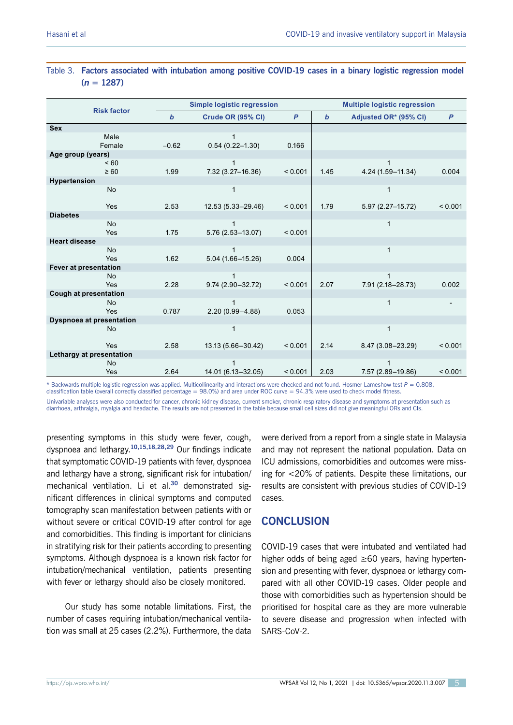| <b>Risk factor</b>              | <b>Simple logistic regression</b> |                                     |              | <b>Multiple logistic regression</b> |                       |                |
|---------------------------------|-----------------------------------|-------------------------------------|--------------|-------------------------------------|-----------------------|----------------|
|                                 | $\boldsymbol{b}$                  | Crude OR (95% CI)                   | $\mathsf{P}$ | $\mathbf b$                         | Adjusted OR* (95% CI) | $\overline{P}$ |
| Sex                             |                                   |                                     |              |                                     |                       |                |
| Male<br>Female                  | $-0.62$                           | $\mathbf{1}$<br>$0.54(0.22 - 1.30)$ | 0.166        |                                     |                       |                |
| Age group (years)               |                                   |                                     |              |                                     |                       |                |
| ~160                            |                                   | $\mathbf{1}$                        |              |                                     |                       |                |
| $\geq 60$                       | 1.99                              | 7.32 (3.27-16.36)                   | < 0.001      | 1.45                                | 4.24 (1.59-11.34)     | 0.004          |
| Hypertension                    |                                   |                                     |              |                                     |                       |                |
| No                              |                                   | $\mathbf{1}$                        |              |                                     | 1                     |                |
| Yes                             | 2.53                              | 12.53 (5.33-29.46)                  | < 0.001      | 1.79                                | 5.97 (2.27-15.72)     | < 0.001        |
| <b>Diabetes</b>                 |                                   |                                     |              |                                     |                       |                |
| <b>No</b>                       |                                   | 1                                   |              |                                     | 1                     |                |
| Yes                             | 1.75                              | $5.76(2.53 - 13.07)$                | < 0.001      |                                     |                       |                |
| <b>Heart disease</b>            |                                   |                                     |              |                                     |                       |                |
| <b>No</b>                       |                                   | $\mathbf{1}$                        |              |                                     | $\mathbf{1}$          |                |
| Yes                             | 1.62                              | $5.04(1.66 - 15.26)$                | 0.004        |                                     |                       |                |
| Fever at presentation           |                                   |                                     |              |                                     |                       |                |
| <b>No</b><br>Yes                | 2.28                              | 1<br>9.74 (2.90-32.72)              | < 0.001      | 2.07                                | 7.91 (2.18-28.73)     | 0.002          |
| <b>Cough at presentation</b>    |                                   |                                     |              |                                     |                       |                |
| <b>No</b>                       |                                   | $\mathbf{1}$                        |              |                                     | $\mathbf{1}$          |                |
| Yes                             | 0.787                             | $2.20(0.99 - 4.88)$                 | 0.053        |                                     |                       |                |
| <b>Dyspnoea at presentation</b> |                                   |                                     |              |                                     |                       |                |
| <b>No</b>                       |                                   | $\mathbf{1}$                        |              |                                     | $\mathbf{1}$          |                |
| Yes                             | 2.58                              | 13.13 (5.66-30.42)                  | < 0.001      | 2.14                                | 8.47 (3.08-23.29)     | < 0.001        |
| Lethargy at presentation        |                                   |                                     |              |                                     |                       |                |
| <b>No</b>                       |                                   | $\mathbf{1}$                        |              |                                     |                       |                |
| Yes                             | 2.64                              | 14.01 (6.13-32.05)                  | < 0.001      | 2.03                                | 7.57 (2.89-19.86)     | < 0.001        |

## Table 3. **Factors associated with intubation among positive COVID-19 cases in a binary logistic regression model**   $(n = 1287)$

\* Backwards multiple logistic regression was applied. Multicollinearity and interactions were checked and not found. Hosmer Lameshow test *P* = 0.808, classification table (overall correctly classified percentage =  $98.0\%$ ) and area under ROC curve =  $94.3\%$  were used to check model fitness

Univariable analyses were also conducted for cancer, chronic kidney disease, current smoker, chronic respiratory disease and symptoms at presentation such as diarrhoea, arthralgia, myalgia and headache. The results are not presented in the table because small cell sizes did not give meaningful ORs and CIs.

presenting symptoms in this study were fever, cough, dyspnoea and lethargy.**10,15,18,28,29** Our findings indicate that symptomatic COVID-19 patients with fever, dyspnoea and lethargy have a strong, significant risk for intubation/ mechanical ventilation. Li et al.**<sup>30</sup>** demonstrated significant differences in clinical symptoms and computed tomography scan manifestation between patients with or without severe or critical COVID-19 after control for age and comorbidities. This finding is important for clinicians in stratifying risk for their patients according to presenting symptoms. Although dyspnoea is a known risk factor for intubation/mechanical ventilation, patients presenting with fever or lethargy should also be closely monitored.

Our study has some notable limitations. First, the number of cases requiring intubation/mechanical ventilation was small at 25 cases (2.2%). Furthermore, the data

were derived from a report from a single state in Malaysia and may not represent the national population. Data on ICU admissions, comorbidities and outcomes were missing for <20% of patients. Despite these limitations, our results are consistent with previous studies of COVID-19 cases.

# **CONCLUSION**

COVID-19 cases that were intubated and ventilated had higher odds of being aged ≥60 years, having hypertension and presenting with fever, dyspnoea or lethargy compared with all other COVID-19 cases. Older people and those with comorbidities such as hypertension should be prioritised for hospital care as they are more vulnerable to severe disease and progression when infected with SARS-CoV-2.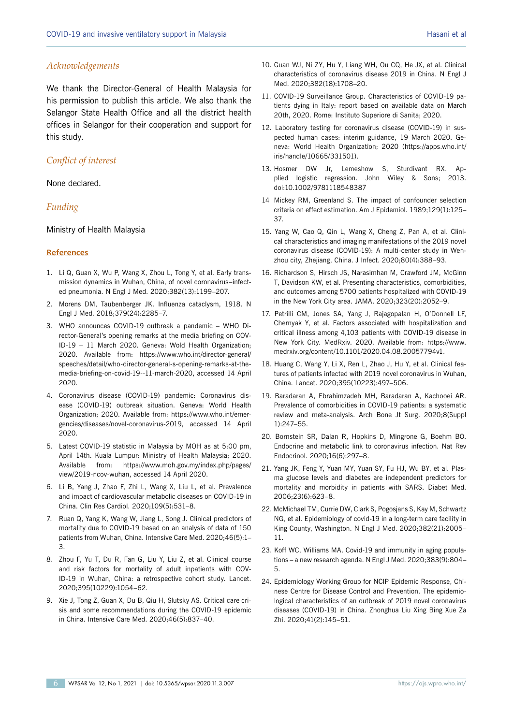#### *Acknowledgements*

We thank the Director-General of Health Malaysia for his permission to publish this article. We also thank the Selangor State Health Office and all the district health offices in Selangor for their cooperation and support for this study.

### *Conflict of interest*

None declared.

#### *Funding*

Ministry of Health Malaysia

#### **References**

- 1. Li Q, Guan X, Wu P, Wang X, Zhou L, Tong Y, et al. Early transmission dynamics in Wuhan, China, of novel coronavirus–infected pneumonia. N Engl J Med. 2020;382(13):1199–207.
- 2. Morens DM, Taubenberger JK. Influenza cataclysm, 1918. N Engl J Med. 2018;379(24):2285–7.
- 3. WHO announces COVID-19 outbreak a pandemic WHO Director-General's opening remarks at the media briefing on COV-ID-19 – 11 March 2020. Geneva: Wold Health Organization; 2020. Available from: https://www.who.int/director-general/ speeches/detail/who-director-general-s-opening-remarks-at-themedia-briefing-on-covid-19--11-march-2020, accessed 14 April 2020.
- 4. Coronavirus disease (COVID-19) pandemic: Coronavirus disease (COVID-19) outbreak situation. Geneva: World Health Organization; 2020. Available from: https://www.who.int/emergencies/diseases/novel-coronavirus-2019, accessed 14 April 2020.
- 5. Latest COVID-19 statistic in Malaysia by MOH as at 5:00 pm, April 14th. Kuala Lumpur: Ministry of Health Malaysia; 2020. Available from: https://www.moh.gov.my/index.php/pages/ view/2019-ncov-wuhan, accessed 14 April 2020.
- 6. Li B, Yang J, Zhao F, Zhi L, Wang X, Liu L, et al. Prevalence and impact of cardiovascular metabolic diseases on COVID-19 in China. Clin Res Cardiol. 2020;109(5):531–8.
- 7. Ruan Q, Yang K, Wang W, Jiang L, Song J. Clinical predictors of mortality due to COVID-19 based on an analysis of data of 150 patients from Wuhan, China. Intensive Care Med. 2020;46(5):1– 3.
- 8. Zhou F, Yu T, Du R, Fan G, Liu Y, Liu Z, et al. Clinical course and risk factors for mortality of adult inpatients with COV-ID-19 in Wuhan, China: a retrospective cohort study. Lancet. 2020;395(10229):1054–62.
- 9. Xie J, Tong Z, Guan X, Du B, Qiu H, Slutsky AS. Critical care crisis and some recommendations during the COVID-19 epidemic in China. Intensive Care Med. 2020;46(5):837–40.
- 10. Guan WJ, Ni ZY, Hu Y, Liang WH, Ou CQ, He JX, et al. Clinical characteristics of coronavirus disease 2019 in China. N Engl J Med. 2020;382(18):1708–20.
- 11. COVID-19 Surveillance Group. Characteristics of COVID-19 patients dying in Italy: report based on available data on March 20th, 2020. Rome: Instituto Superiore di Sanita; 2020.
- 12. Laboratory testing for coronavirus disease (COVID-19) in suspected human cases: interim guidance, 19 March 2020. Geneva: World Health Organization; 2020 (https://apps.who.int/ iris/handle/10665/331501).
- 13. Hosmer DW Jr, Lemeshow S, Sturdivant RX. Applied logistic regression. John Wiley & Sons; 2013. doi:10.1002/9781118548387
- 14 Mickey RM, Greenland S. The impact of confounder selection criteria on effect estimation. Am J Epidemiol. 1989;129(1):125– 37.
- 15. Yang W, Cao Q, Qin L, Wang X, Cheng Z, Pan A, et al. Clinical characteristics and imaging manifestations of the 2019 novel coronavirus disease (COVID-19): A multi-center study in Wenzhou city, Zhejiang, China. J Infect. 2020;80(4):388–93.
- 16. Richardson S, Hirsch JS, Narasimhan M, Crawford JM, McGinn T, Davidson KW, et al. Presenting characteristics, comorbidities, and outcomes among 5700 patients hospitalized with COVID-19 in the New York City area. JAMA. 2020;323(20):2052–9.
- 17. Petrilli CM, Jones SA, Yang J, Rajagopalan H, O'Donnell LF, Chernyak Y, et al. Factors associated with hospitalization and critical illness among 4,103 patients with COVID-19 disease in New York City. MedRxiv. 2020. Available from: https://www. medrxiv.org/content/10.1101/2020.04.08.20057794v1.
- 18. Huang C, Wang Y, Li X, Ren L, Zhao J, Hu Y, et al. Clinical features of patients infected with 2019 novel coronavirus in Wuhan, China. Lancet. 2020;395(10223):497–506.
- 19. Baradaran A, Ebrahimzadeh MH, Baradaran A, Kachooei AR. Prevalence of comorbidities in COVID-19 patients: a systematic review and meta-analysis. Arch Bone Jt Surg. 2020;8(Suppl 1):247–55.
- 20. Bornstein SR, Dalan R, Hopkins D, Mingrone G, Boehm BO. Endocrine and metabolic link to coronavirus infection. Nat Rev Endocrinol. 2020;16(6):297–8.
- 21. Yang JK, Feng Y, Yuan MY, Yuan SY, Fu HJ, Wu BY, et al. Plasma glucose levels and diabetes are independent predictors for mortality and morbidity in patients with SARS. Diabet Med. 2006;23(6):623–8.
- 22. McMichael TM, Currie DW, Clark S, Pogosjans S, Kay M, Schwartz NG, et al. Epidemiology of covid-19 in a long-term care facility in King County, Washington. N Engl J Med. 2020;382(21):2005– 11.
- 23. Koff WC, Williams MA. Covid-19 and immunity in aging populations – a new research agenda. N Engl J Med. 2020;383(9):804– 5.
- 24. Epidemiology Working Group for NCIP Epidemic Response, Chinese Centre for Disease Control and Prevention. The epidemiological characteristics of an outbreak of 2019 novel coronavirus diseases (COVID-19) in China. Zhonghua Liu Xing Bing Xue Za Zhi. 2020;41(2):145–51.